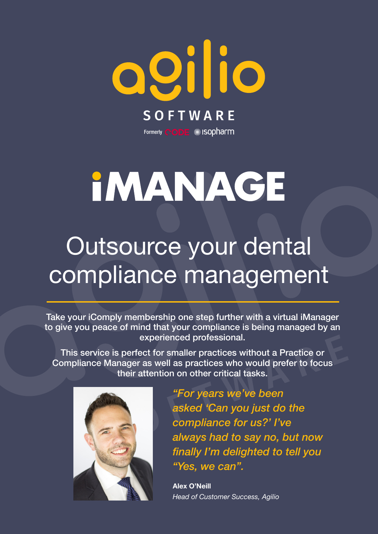

## **IMANAGE**

### Outsource your dental compliance management

Take your iComply membership one step further with a virtual iManager to give you peace of mind that your compliance is being managed by an experienced professional.

This service is perfect for smaller practices without a Practice or Compliance Manager as well as practices who would prefer to focus their attention on other critical tasks.



*"For years we've been asked 'Can you just do the compliance for us?' I've always had to say no, but now finally I'm delighted to tell you "Yes, we can".*

**Alex O'Neill** *Head of Customer Success, Agilio*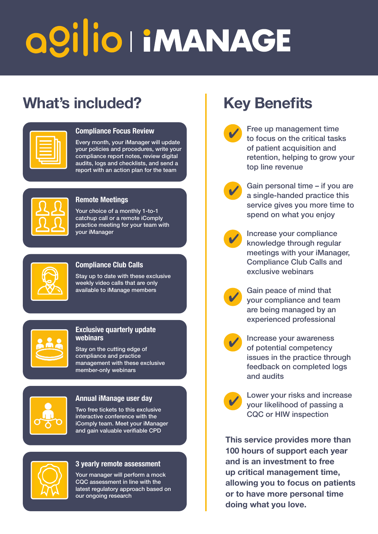# QOI|IO HMANAGE

### What's included? Key Benefits

| the contract of the contract of the<br>the control of the control of the |  |
|--------------------------------------------------------------------------|--|
|                                                                          |  |
|                                                                          |  |
|                                                                          |  |
|                                                                          |  |
|                                                                          |  |
|                                                                          |  |

#### **Compliance Focus Review**

Every month, your iManager will update your policies and procedures, write your compliance report notes, review digital audits, logs and checklists, and send a report with an action plan for the team

#### **Remote Meetings**

Your choice of a monthly 1-to-1 catchup call or a remote iComply practice meeting for your team with your iManager

#### **Compliance Club Calls**

Stay up to date with these exclusive weekly video calls that are only available to iManage members



#### **Exclusive quarterly update webinars**

Stay on the cutting edge of compliance and practice management with these exclusive member-only webinars



#### **Annual iManage user day**

Two free tickets to this exclusive interactive conference with the iComply team. Meet your iManager and gain valuable verifiable CPD



#### **3 yearly remote assessment**

Your manager will perform a mock CQC assessment in line with the latest regulatory approach based on our ongoing research

- Free up management time to focus on the critical tasks of patient acquisition and retention, helping to grow your top line revenue
	- Gain personal time if you are a single-handed practice this service gives you more time to spend on what you enjoy



✔

✔

Increase your compliance knowledge through regular meetings with your iManager, Compliance Club Calls and exclusive webinars



Gain peace of mind that your compliance and team are being managed by an experienced professional



Increase your awareness of potential competency issues in the practice through feedback on completed logs and audits



Lower your risks and increase your likelihood of passing a CQC or HIW inspection

**This service provides more than 100 hours of support each year and is an investment to free up critical management time, allowing you to focus on patients or to have more personal time doing what you love.**